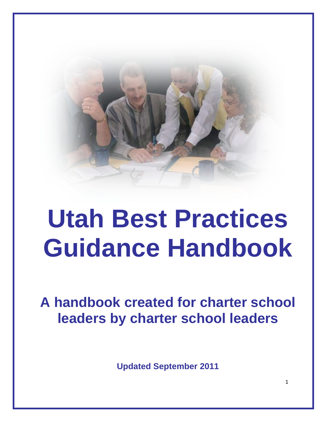

# **Utah Best Practices Guidance Handbook**

**A handbook created for charter school leaders by charter school leaders**

**Updated September 2011**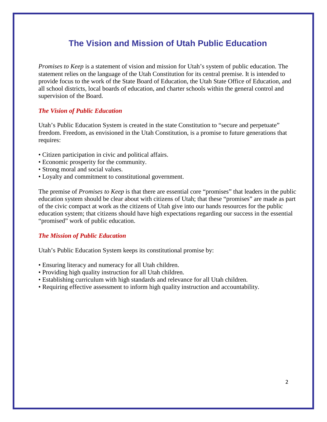# **The Vision and Mission of Utah Public Education**

*Promises to Keep* is a statement of vision and mission for Utah's system of public education. The statement relies on the language of the Utah Constitution for its central premise. It is intended to provide focus to the work of the State Board of Education, the Utah State Office of Education, and all school districts, local boards of education, and charter schools within the general control and supervision of the Board.

## *The Vision of Public Education*

Utah's Public Education System is created in the state Constitution to "secure and perpetuate" freedom. Freedom, as envisioned in the Utah Constitution, is a promise to future generations that requires:

- Citizen participation in civic and political affairs.
- Economic prosperity for the community.
- Strong moral and social values.
- Loyalty and commitment to constitutional government.

The premise of *Promises to Keep* is that there are essential core "promises" that leaders in the public education system should be clear about with citizens of Utah; that these "promises" are made as part of the civic compact at work as the citizens of Utah give into our hands resources for the public education system; that citizens should have high expectations regarding our success in the essential "promised" work of public education.

#### *The Mission of Public Education*

Utah's Public Education System keeps its constitutional promise by:

- Ensuring literacy and numeracy for all Utah children.
- Providing high quality instruction for all Utah children.
- Establishing curriculum with high standards and relevance for all Utah children.
- Requiring effective assessment to inform high quality instruction and accountability.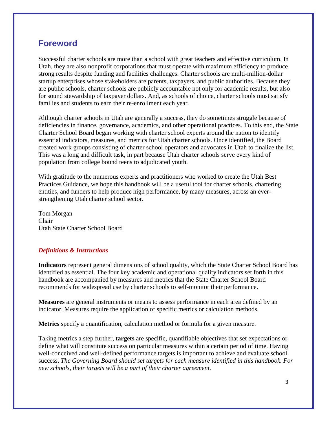# **Foreword**

Successful charter schools are more than a school with great teachers and effective curriculum. In Utah, they are also nonprofit corporations that must operate with maximum efficiency to produce strong results despite funding and facilities challenges. Charter schools are multi-million-dollar startup enterprises whose stakeholders are parents, taxpayers, and public authorities. Because they are public schools, charter schools are publicly accountable not only for academic results, but also for sound stewardship of taxpayer dollars. And, as schools of choice, charter schools must satisfy families and students to earn their re-enrollment each year.

Although charter schools in Utah are generally a success, they do sometimes struggle because of deficiencies in finance, governance, academics, and other operational practices. To this end, the State Charter School Board began working with charter school experts around the nation to identify essential indicators, measures, and metrics for Utah charter schools. Once identified, the Board created work groups consisting of charter school operators and advocates in Utah to finalize the list. This was a long and difficult task, in part because Utah charter schools serve every kind of population from college bound teens to adjudicated youth.

With gratitude to the numerous experts and practitioners who worked to create the Utah Best Practices Guidance, we hope this handbook will be a useful tool for charter schools, chartering entities, and funders to help produce high performance, by many measures, across an everstrengthening Utah charter school sector.

Tom Morgan Chair Utah State Charter School Board

# *Definitions & Instructions*

**Indicators** represent general dimensions of school quality, which the State Charter School Board has identified as essential. The four key academic and operational quality indicators set forth in this handbook are accompanied by measures and metrics that the State Charter School Board recommends for widespread use by charter schools to self-monitor their performance.

**Measures** are general instruments or means to assess performance in each area defined by an indicator. Measures require the application of specific metrics or calculation methods.

**Metrics** specify a quantification, calculation method or formula for a given measure.

Taking metrics a step further, **targets** are specific, quantifiable objectives that set expectations or define what will constitute success on particular measures within a certain period of time. Having well-conceived and well-defined performance targets is important to achieve and evaluate school success. *The Governing Board should set targets for each measure identified in this handbook. For new schools, their targets will be a part of their charter agreement.*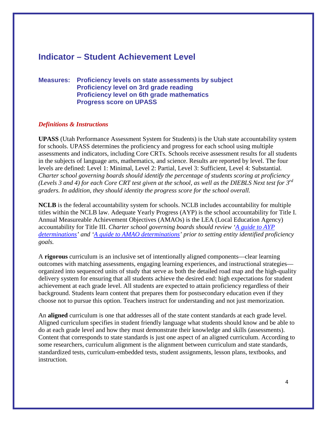# **Indicator – Student Achievement Level**

#### **Measures: Proficiency levels on state assessments by subject Proficiency level on 3rd grade reading Proficiency level on 6th grade mathematics Progress score on UPASS**

#### *Definitions & Instructions*

**UPASS** (Utah Performance Assessment System for Students) is the Utah state accountability system for schools. UPASS determines the proficiency and progress for each school using multiple assessments and indicators, including Core CRTs. Schools receive assessment results for all students in the subjects of language arts, mathematics, and science. Results are reported by level. The four levels are defined: Level 1: Minimal, Level 2: Partial, Level 3: Sufficient, Level 4: Substantial*. Charter school governing boards should identify the percentage of students scoring at proficiency (Levels 3 and 4) for each Core CRT test given at the school, as well as the DIEBLS Next test for 3rd graders. In addition, they should identity the progress score for the school overall.*

**NCLB** is the federal accountability system for schools. NCLB includes accountability for multiple titles within the NCLB law. Adequate Yearly Progress (AYP) is the school accountability for Title I. Annual Measureable Achievement Objectives (AMAOs) is the LEA (Local Education Agency) accountability for Title III. *Charter school governing boards should review ['A guide to AYP](http://www.schools.utah.gov/data/Educational-Data/Accountability-School-Performance.aspx)  [determinations'](http://www.schools.utah.gov/data/Educational-Data/Accountability-School-Performance.aspx) and ['A guide to AMAO determinations'](http://www.schools.utah.gov/data/Educational-Data/Accountability-School-Performance.aspx) prior to setting entity identified proficiency goals.*

A **rigorous** curriculum is an inclusive set of intentionally aligned components—clear learning outcomes with matching assessments, engaging learning experiences, and instructional strategies organized into sequenced units of study that serve as both the detailed road map and the high-quality delivery system for ensuring that all students achieve the desired end: high expectations for student achievement at each grade level. All students are expected to attain proficiency regardless of their background. Students learn content that prepares them for postsecondary education even if they choose not to pursue this option. Teachers instruct for understanding and not just memorization.

An **aligned** curriculum is one that addresses all of the state content standards at each grade level. Aligned curriculum specifies in student friendly language what students should know and be able to do at each grade level and how they must demonstrate their knowledge and skills (assessments). Content that corresponds to state standards is just one aspect of an aligned curriculum. According to some researchers, curriculum alignment is the alignment between curriculum and state standards, standardized tests, curriculum-embedded tests, student assignments, lesson plans, textbooks, and instruction.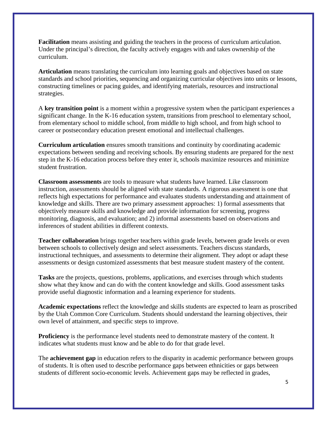**Facilitation** means assisting and guiding the teachers in the process of curriculum articulation. Under the principal's direction, the faculty actively engages with and takes ownership of the curriculum.

**Articulation** means translating the curriculum into learning goals and objectives based on state standards and school priorities, sequencing and organizing curricular objectives into units or lessons, constructing timelines or pacing guides, and identifying materials, resources and instructional strategies.

A **key transition point** is a moment within a progressive system when the participant experiences a significant change. In the K-16 education system, transitions from preschool to elementary school, from elementary school to middle school, from middle to high school, and from high school to career or postsecondary education present emotional and intellectual challenges.

**Curriculum articulation** ensures smooth transitions and continuity by coordinating academic expectations between sending and receiving schools. By ensuring students are prepared for the next step in the K-16 education process before they enter it, schools maximize resources and minimize student frustration.

**Classroom assessments** are tools to measure what students have learned. Like classroom instruction, assessments should be aligned with state standards. A rigorous assessment is one that reflects high expectations for performance and evaluates students understanding and attainment of knowledge and skills. There are two primary assessment approaches: 1) formal assessments that objectively measure skills and knowledge and provide information for screening, progress monitoring, diagnosis, and evaluation; and 2) informal assessments based on observations and inferences of student abilities in different contexts.

**Teacher collaboration** brings together teachers within grade levels, between grade levels or even between schools to collectively design and select assessments. Teachers discuss standards, instructional techniques, and assessments to determine their alignment. They adopt or adapt these assessments or design customized assessments that best measure student mastery of the content.

**Tasks** are the projects, questions, problems, applications, and exercises through which students show what they know and can do with the content knowledge and skills. Good assessment tasks provide useful diagnostic information and a learning experience for students.

**Academic expectations** reflect the knowledge and skills students are expected to learn as proscribed by the Utah Common Core Curriculum. Students should understand the learning objectives, their own level of attainment, and specific steps to improve.

**Proficiency** is the performance level students need to demonstrate mastery of the content. It indicates what students must know and be able to do for that grade level.

The **achievement gap** in education refers to the disparity in academic performance between groups of students. It is often used to describe performance gaps between ethnicities or gaps between students of different socio-economic levels. Achievement gaps may be reflected in grades,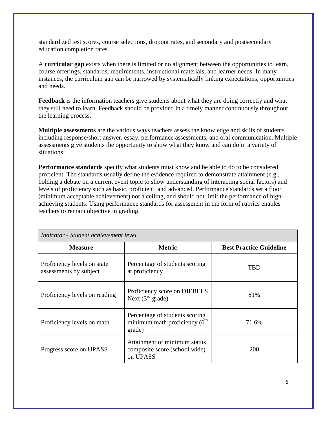standardized test scores, course selections, dropout rates, and secondary and postsecondary education completion rates.

A **curricular gap** exists when there is limited or no alignment between the opportunities to learn, course offerings, standards, requirements, instructional materials, and learner needs. In many instances, the curriculum gap can be narrowed by systematically linking expectations, opportunities and needs.

**Feedback** is the information teachers give students about what they are doing correctly and what they still need to learn. Feedback should be provided in a timely manner continuously throughout the learning process.

**Multiple assessments** are the various ways teachers assess the knowledge and skills of students including response/short answer, essay, performance assessments, and oral communication. Multiple assessments give students the opportunity to show what they know and can do in a variety of situations.

**Performance standards** specify what students must know and be able to do to be considered proficient. The standards usually define the evidence required to demonstrate attainment (e.g., holding a debate on a current event topic to show understanding of interacting social factors) and levels of proficiency such as basic, proficient, and advanced. Performance standards set a floor (minimum acceptable achievement) not a ceiling, and should not limit the performance of highachieving students. Using performance standards for assessment in the form of rubrics enables teachers to remain objective in grading.

| Indicator - Student achievement level                 |                                                                             |                                |  |
|-------------------------------------------------------|-----------------------------------------------------------------------------|--------------------------------|--|
| <b>Measure</b>                                        | <b>Metric</b>                                                               | <b>Best Practice Guideline</b> |  |
| Proficiency levels on state<br>assessments by subject | Percentage of students scoring<br>at proficiency                            | TBD                            |  |
| Proficiency levels on reading                         | Proficiency score on DIEBELS<br>Next $(3rd \text{ grade})$                  | 81%                            |  |
| Proficiency levels on math                            | Percentage of students scoring<br>minimum math proficiency $(6th$<br>grade) | 71.6%                          |  |
| Progress score on UPASS                               | Attainment of minimum status<br>composite score (school wide)<br>on UPASS   | 200                            |  |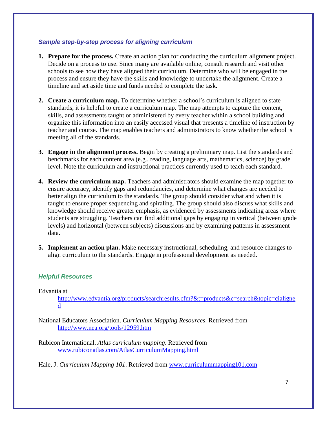#### *Sample step-by-step process for aligning curriculum*

- **1. Prepare for the process.** Create an action plan for conducting the curriculum alignment project. Decide on a process to use. Since many are available online, consult research and visit other schools to see how they have aligned their curriculum. Determine who will be engaged in the process and ensure they have the skills and knowledge to undertake the alignment. Create a timeline and set aside time and funds needed to complete the task.
- **2. Create a curriculum map.** To determine whether a school's curriculum is aligned to state standards, it is helpful to create a curriculum map. The map attempts to capture the content, skills, and assessments taught or administered by every teacher within a school building and organize this information into an easily accessed visual that presents a timeline of instruction by teacher and course. The map enables teachers and administrators to know whether the school is meeting all of the standards.
- **3. Engage in the alignment process.** Begin by creating a preliminary map. List the standards and benchmarks for each content area (e.g., reading, language arts, mathematics, science) by grade level. Note the curriculum and instructional practices currently used to teach each standard.
- **4. Review the curriculum map.** Teachers and administrators should examine the map together to ensure accuracy, identify gaps and redundancies, and determine what changes are needed to better align the curriculum to the standards. The group should consider what and when it is taught to ensure proper sequencing and spiraling. The group should also discuss what skills and knowledge should receive greater emphasis, as evidenced by assessments indicating areas where students are struggling. Teachers can find additional gaps by engaging in vertical (between grade levels) and horizontal (between subjects) discussions and by examining patterns in assessment data.
- **5. Implement an action plan.** Make necessary instructional, scheduling, and resource changes to align curriculum to the standards. Engage in professional development as needed.

#### *Helpful Resources*

Edvantia at

[http://www.edvantia.org/products/searchresults.cfm?&t=products&c=search&topic=cialigne](http://www.edvantia.org/products/searchresults.cfm?&t=products&c=search&topic=cialigned) [d](http://www.edvantia.org/products/searchresults.cfm?&t=products&c=search&topic=cialigned)

National Educators Association. *Curriculum Mapping Resources*. Retrieved from <http://www.nea.org/tools/12959.htm>

Rubicon International. *Atlas curriculum mapping*. Retrieved from [www.rubiconatlas.com/AtlasCurriculumMapping.html](http://www.rubiconatlas.com/AtlasCurriculumMapping.html)

Hale, J. *Curriculum Mapping 101*. Retrieved from [www.curriculummapping101.com](http://www.curriculummapping101.com/)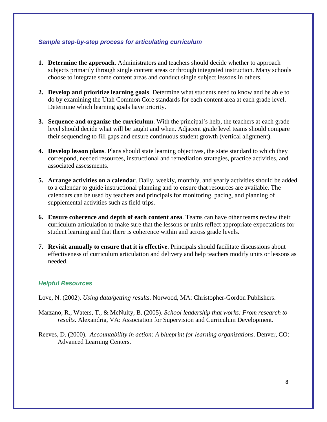#### *Sample step-by-step process for articulating curriculum*

- **1. Determine the approach**. Administrators and teachers should decide whether to approach subjects primarily through single content areas or through integrated instruction. Many schools choose to integrate some content areas and conduct single subject lessons in others.
- **2. Develop and prioritize learning goals**. Determine what students need to know and be able to do by examining the Utah Common Core standards for each content area at each grade level. Determine which learning goals have priority.
- **3. Sequence and organize the curriculum**. With the principal's help, the teachers at each grade level should decide what will be taught and when. Adjacent grade level teams should compare their sequencing to fill gaps and ensure continuous student growth (vertical alignment).
- **4. Develop lesson plans**. Plans should state learning objectives, the state standard to which they correspond, needed resources, instructional and remediation strategies, practice activities, and associated assessments.
- **5. Arrange activities on a calendar**. Daily, weekly, monthly, and yearly activities should be added to a calendar to guide instructional planning and to ensure that resources are available. The calendars can be used by teachers and principals for monitoring, pacing, and planning of supplemental activities such as field trips.
- **6. Ensure coherence and depth of each content area**. Teams can have other teams review their curriculum articulation to make sure that the lessons or units reflect appropriate expectations for student learning and that there is coherence within and across grade levels.
- **7. Revisit annually to ensure that it is effective**. Principals should facilitate discussions about effectiveness of curriculum articulation and delivery and help teachers modify units or lessons as needed.

# *Helpful Resources*

Love, N. (2002). *Using data/getting results*. Norwood, MA: Christopher-Gordon Publishers.

- Marzano, R., Waters, T., & McNulty, B. (2005). *School leadership that works: From research to results*. Alexandria, VA: Association for Supervision and Curriculum Development.
- Reeves, D. (2000). *Accountability in action: A blueprint for learning organizations*. Denver, CO: Advanced Learning Centers.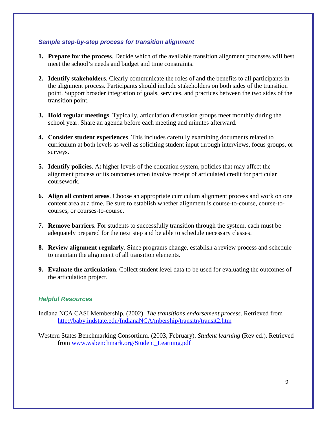#### *Sample step-by-step process for transition alignment*

- **1. Prepare for the process**. Decide which of the available transition alignment processes will best meet the school's needs and budget and time constraints.
- **2. Identify stakeholders**. Clearly communicate the roles of and the benefits to all participants in the alignment process. Participants should include stakeholders on both sides of the transition point. Support broader integration of goals, services, and practices between the two sides of the transition point.
- **3. Hold regular meetings**. Typically, articulation discussion groups meet monthly during the school year. Share an agenda before each meeting and minutes afterward.
- **4. Consider student experiences**. This includes carefully examining documents related to curriculum at both levels as well as soliciting student input through interviews, focus groups, or surveys.
- **5. Identify policies**. At higher levels of the education system, policies that may affect the alignment process or its outcomes often involve receipt of articulated credit for particular coursework.
- **6. Align all content areas**. Choose an appropriate curriculum alignment process and work on one content area at a time. Be sure to establish whether alignment is course-to-course, course-tocourses, or courses-to-course.
- **7. Remove barriers**. For students to successfully transition through the system, each must be adequately prepared for the next step and be able to schedule necessary classes.
- **8. Review alignment regularly**. Since programs change, establish a review process and schedule to maintain the alignment of all transition elements.
- **9. Evaluate the articulation**. Collect student level data to be used for evaluating the outcomes of the articulation project.

- Indiana NCA CASI Membership. (2002). *The transitions endorsement process*. Retrieved from <http://baby.indstate.edu/IndianaNCA/mbership/transitn/transit2.htm>
- Western States Benchmarking Consortium. (2003, February). *Student learning* (Rev ed.). Retrieved from [www.wsbenchmark.org/Student\\_Learning.pdf](http://www.wsbenchmark.org/Student_Learning.pdf)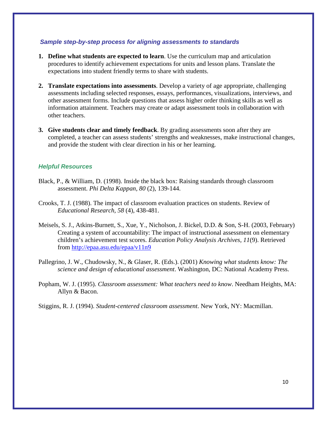#### *Sample step-by-step process for aligning assessments to standards*

- **1. Define what students are expected to learn**. Use the curriculum map and articulation procedures to identify achievement expectations for units and lesson plans. Translate the expectations into student friendly terms to share with students.
- **2. Translate expectations into assessments**. Develop a variety of age appropriate, challenging assessments including selected responses, essays, performances, visualizations, interviews, and other assessment forms. Include questions that assess higher order thinking skills as well as information attainment. Teachers may create or adapt assessment tools in collaboration with other teachers.
- **3. Give students clear and timely feedback**. By grading assessments soon after they are completed, a teacher can assess students' strengths and weaknesses, make instructional changes, and provide the student with clear direction in his or her learning.

## *Helpful Resources*

- Black, P., & William, D. (1998). Inside the black box: Raising standards through classroom assessment. *Phi Delta Kappan, 80* (2), 139-144.
- Crooks, T. J. (1988). The impact of classroom evaluation practices on students. Review of *Educational Research, 58* (4), 438-481.
- Meisels, S. J., Atkins-Burnett, S., Xue, Y., Nicholson, J. Bickel, D.D. & Son, S-H. (2003, February) Creating a system of accountability: The impact of instructional assessment on elementary children's achievement test scores. *Education Policy Analysis Archives, 11*(9). Retrieved from<http://epaa.asu.edu/epaa/v11n9>
- Pallegrino, J. W., Chudowsky, N., & Glaser, R. (Eds.). (2001) *Knowing what students know: The science and design of educational assessment*. Washington, DC: National Academy Press.
- Popham, W. J. (1995). *Classroom assessment: What teachers need to know*. Needham Heights, MA: Allyn & Bacon.

Stiggins, R. J. (1994). *Student-centered classroom assessment*. New York, NY: Macmillan.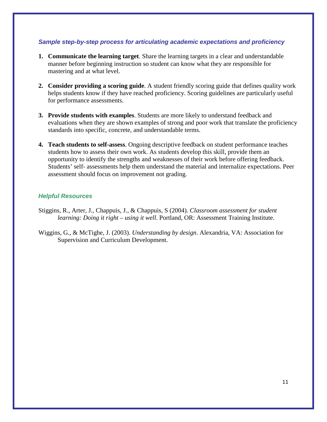#### *Sample step-by-step process for articulating academic expectations and proficiency*

- **1. Communicate the learning target**. Share the learning targets in a clear and understandable manner before beginning instruction so student can know what they are responsible for mastering and at what level.
- **2. Consider providing a scoring guide**. A student friendly scoring guide that defines quality work helps students know if they have reached proficiency. Scoring guidelines are particularly useful for performance assessments.
- **3. Provide students with examples**. Students are more likely to understand feedback and evaluations when they are shown examples of strong and poor work that translate the proficiency standards into specific, concrete, and understandable terms.
- **4. Teach students to self-assess**. Ongoing descriptive feedback on student performance teaches students how to assess their own work. As students develop this skill, provide them an opportunity to identify the strengths and weaknesses of their work before offering feedback. Students' self- assessments help them understand the material and internalize expectations. Peer assessment should focus on improvement not grading.

- Stiggins, R., Arter, J., Chappuis, J., & Chappuis, S (2004). *Classroom assessment for student learning: Doing it right – using it well*. Portland, OR: Assessment Training Institute.
- Wiggins, G., & McTighe, J. (2003). *Understanding by design*. Alexandria, VA: Association for Supervision and Curriculum Development.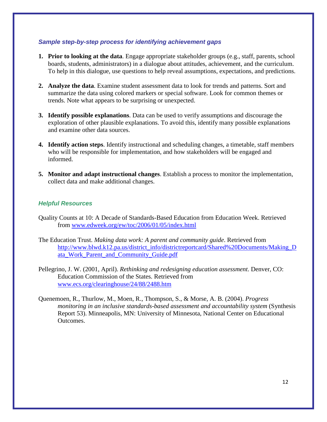#### *Sample step-by-step process for identifying achievement gaps*

- **1. Prior to looking at the data**. Engage appropriate stakeholder groups (e.g., staff, parents, school boards, students, administrators) in a dialogue about attitudes, achievement, and the curriculum. To help in this dialogue, use questions to help reveal assumptions, expectations, and predictions.
- **2. Analyze the data**. Examine student assessment data to look for trends and patterns. Sort and summarize the data using colored markers or special software. Look for common themes or trends. Note what appears to be surprising or unexpected.
- **3. Identify possible explanations**. Data can be used to verify assumptions and discourage the exploration of other plausible explanations. To avoid this, identify many possible explanations and examine other data sources.
- **4. Identify action steps**. Identify instructional and scheduling changes, a timetable, staff members who will be responsible for implementation, and how stakeholders will be engaged and informed.
- **5. Monitor and adapt instructional changes**. Establish a process to monitor the implementation, collect data and make additional changes.

- Quality Counts at 10: A Decade of Standards-Based Education from Education Week. Retrieved from [www.edweek.org/ew/toc/2006/01/05/index.html](http://www.edweek.org/ew/toc/2006/01/05/index.html)
- The Education Trust. *Making data work: A parent and community guide*. Retrieved from [http://www.blwd.k12.pa.us/district\\_info/districtreportcard/Shared%20Documents/Making\\_D](http://www.blwd.k12.pa.us/district_info/districtreportcard/Shared%20Documents/Making_Data_Work_Parent_and_Community_Guide.pdf) [ata\\_Work\\_Parent\\_and\\_Community\\_Guide.pdf](http://www.blwd.k12.pa.us/district_info/districtreportcard/Shared%20Documents/Making_Data_Work_Parent_and_Community_Guide.pdf)
- Pellegrino, J. W. (2001, April). *Rethinking and redesigning education assessment*. Denver, CO: Education Commission of the States. Retrieved from [www.ecs.org/clearinghouse/24/88/2488.htm](http://www.ecs.org/clearinghouse/24/88/2488.htm)
- Quenemoen, R., Thurlow, M., Moen, R., Thompson, S., & Morse, A. B. (2004). *Progress monitoring in an inclusive standards-based assessment and accountability system* (Synthesis Report 53). Minneapolis, MN: University of Minnesota, National Center on Educational Outcomes.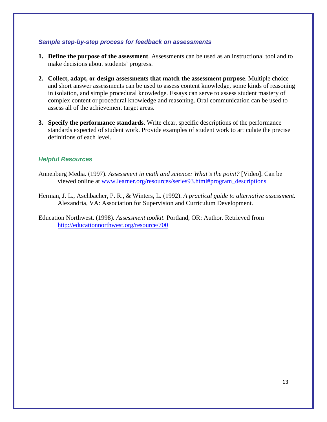#### *Sample step-by-step process for feedback on assessments*

- **1. Define the purpose of the assessment**. Assessments can be used as an instructional tool and to make decisions about students' progress.
- **2. Collect, adapt, or design assessments that match the assessment purpose**. Multiple choice and short answer assessments can be used to assess content knowledge, some kinds of reasoning in isolation, and simple procedural knowledge. Essays can serve to assess student mastery of complex content or procedural knowledge and reasoning. Oral communication can be used to assess all of the achievement target areas.
- **3. Specify the performance standards**. Write clear, specific descriptions of the performance standards expected of student work. Provide examples of student work to articulate the precise definitions of each level.

## *Helpful Resources*

- Annenberg Media. (1997). *Assessment in math and science: What's the point?* [Video]. Can be viewed online at [www.learner.org/resources/series93.html#program\\_descriptions](http://www.learner.org/resources/series93.html#program_descriptions)
- Herman, J. L., Aschbacher, P. R., & Winters, L. (1992). *A practical guide to alternative assessment.* Alexandria, VA: Association for Supervision and Curriculum Development.

Education Northwest. (1998). *Assessment toolkit.* Portland, OR: Author. Retrieved from <http://educationnorthwest.org/resource/700>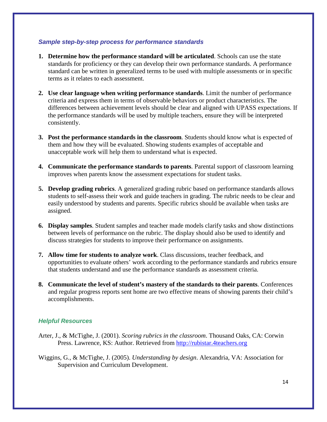#### *Sample step-by-step process for performance standards*

- **1. Determine how the performance standard will be articulated**. Schools can use the state standards for proficiency or they can develop their own performance standards. A performance standard can be written in generalized terms to be used with multiple assessments or in specific terms as it relates to each assessment.
- **2. Use clear language when writing performance standards**. Limit the number of performance criteria and express them in terms of observable behaviors or product characteristics. The differences between achievement levels should be clear and aligned with UPASS expectations. If the performance standards will be used by multiple teachers, ensure they will be interpreted consistently.
- **3. Post the performance standards in the classroom**. Students should know what is expected of them and how they will be evaluated. Showing students examples of acceptable and unacceptable work will help them to understand what is expected.
- **4. Communicate the performance standards to parents**. Parental support of classroom learning improves when parents know the assessment expectations for student tasks.
- **5. Develop grading rubrics**. A generalized grading rubric based on performance standards allows students to self-assess their work and guide teachers in grading. The rubric needs to be clear and easily understood by students and parents. Specific rubrics should be available when tasks are assigned.
- **6. Display samples**. Student samples and teacher made models clarify tasks and show distinctions between levels of performance on the rubric. The display should also be used to identify and discuss strategies for students to improve their performance on assignments.
- **7. Allow time for students to analyze work**. Class discussions, teacher feedback, and opportunities to evaluate others' work according to the performance standards and rubrics ensure that students understand and use the performance standards as assessment criteria.
- **8. Communicate the level of student's mastery of the standards to their parents**. Conferences and regular progress reports sent home are two effective means of showing parents their child's accomplishments.

- Arter, J., & McTighe, J. (2001). *Scoring rubrics in the classroom*. Thousand Oaks, CA: Corwin Press. Lawrence, KS: Author. Retrieved from [http://rubistar.4teachers.org](http://rubistar.4teachers.org/)
- Wiggins, G., & McTighe, J. (2005). *Understanding by design*. Alexandria, VA: Association for Supervision and Curriculum Development.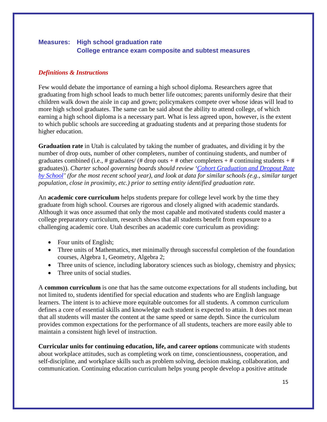# **Measures: High school graduation rate College entrance exam composite and subtest measures**

#### *Definitions & Instructions*

Few would debate the importance of earning a high school diploma. Researchers agree that graduating from high school leads to much better life outcomes; parents uniformly desire that their children walk down the aisle in cap and gown; policymakers compete over whose ideas will lead to more high school graduates. The same can be said about the ability to attend college, of which earning a high school diploma is a necessary part. What is less agreed upon, however, is the extent to which public schools are succeeding at graduating students and at preparing those students for higher education.

**Graduation rate** in Utah is calculated by taking the number of graduates, and dividing it by the number of drop outs, number of other completers, number of continuing students, and number of graduates combined (i.e., # graduates/ (# drop outs + # other completers + # continuing students + # graduates)). *Charter school governing boards should review ['Cohort Graduation and Dropout Rate](http://schools.utah.gov/data/Educational-Data/Graduation-Dropout-Rates.aspx)  [by School'](http://schools.utah.gov/data/Educational-Data/Graduation-Dropout-Rates.aspx) (for the most recent school year), and look at data for similar schools (e.g., similar target population, close in proximity, etc.) prior to setting entity identified graduation rate.*

An **academic core curriculum** helps students prepare for college level work by the time they graduate from high school. Courses are rigorous and closely aligned with academic standards. Although it was once assumed that only the most capable and motivated students could master a college preparatory curriculum, research shows that all students benefit from exposure to a challenging academic core. Utah describes an academic core curriculum as providing:

- Four units of English;
- Three units of Mathematics, met minimally through successful completion of the foundation courses, Algebra 1, Geometry, Algebra 2;
- Three units of science, including laboratory sciences such as biology, chemistry and physics;
- Three units of social studies.

A **common curriculum** is one that has the same outcome expectations for all students including, but not limited to, students identified for special education and students who are English language learners. The intent is to achieve more equitable outcomes for all students. A common curriculum defines a core of essential skills and knowledge each student is expected to attain. It does not mean that all students will master the content at the same speed or same depth. Since the curriculum provides common expectations for the performance of all students, teachers are more easily able to maintain a consistent high level of instruction.

**Curricular units for continuing education, life, and career options** communicate with students about workplace attitudes, such as completing work on time, conscientiousness, cooperation, and self-discipline, and workplace skills such as problem solving, decision making, collaboration, and communication. Continuing education curriculum helps young people develop a positive attitude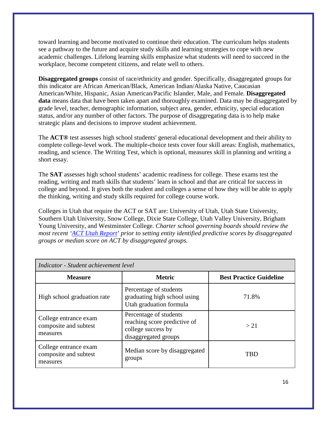toward learning and become motivated to continue their education. The curriculum helps students see a pathway to the future and acquire study skills and learning strategies to cope with new academic challenges. Lifelong learning skills emphasize what students will need to succeed in the workplace, become competent citizens, and relate well to others.

**Disaggregated groups** consist of race/ethnicity and gender. Specifically, disaggregated groups for this indicator are African American/Black, American Indian/Alaska Native, Caucasian American/White, Hispanic, Asian American/Pacific Islander, Male, and Female. **Disaggregated data** means data that have been taken apart and thoroughly examined. Data may be disaggregated by grade level, teacher, demographic information, subject area, gender, ethnicity, special education status, and/or any number of other factors. The purpose of disaggregating data is to help make strategic plans and decisions to improve student achievement.

The **ACT®** test assesses high school students' general educational development and their ability to complete college-level work. The multiple-choice tests cover four skill areas: English, mathematics, reading, and science. The Writing Test, which is optional, measures skill in planning and writing a short essay.

The **SAT** assesses high school students' academic readiness for college. These exams test the reading, writing and math skills that students' learn in school and that are critical for success in college and beyond. It gives both the student and colleges a sense of how they will be able to apply the thinking, writing and study skills required for college course work.

Colleges in Utah that require the ACT or SAT are: University of Utah, Utah State University, Southern Utah University, Snow College, Dixie State College, Utah Valley University, Brigham Young University, and Westminster College. *Charter school governing boards should review the most recent ['ACT Utah Report'](http://www.schools.utah.gov/data/Educational-Data/Assessments-Student-Achievement.aspx) prior to setting entity identified predictive scores by disaggregated groups or median score on ACT by disaggregated groups.*

| Indicator - Student achievement level                      |                                                                                                      |                                |  |
|------------------------------------------------------------|------------------------------------------------------------------------------------------------------|--------------------------------|--|
| <b>Measure</b>                                             | <b>Metric</b>                                                                                        | <b>Best Practice Guideline</b> |  |
| High school graduation rate                                | Percentage of students<br>graduating high school using<br>Utah graduation formula                    | 71.8%                          |  |
| College entrance exam<br>composite and subtest<br>measures | Percentage of students<br>reaching score predictive of<br>college success by<br>disaggregated groups | >21                            |  |
| College entrance exam<br>composite and subtest<br>measures | Median score by disaggregated<br>groups                                                              | TBD                            |  |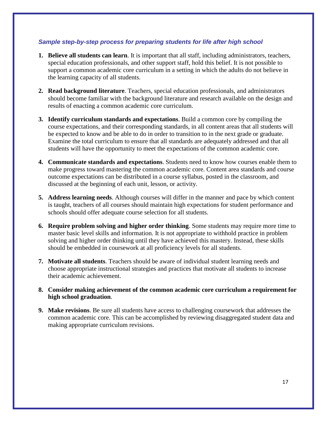#### *Sample step-by-step process for preparing students for life after high school*

- **1. Believe all students can learn**. It is important that all staff, including administrators, teachers, special education professionals, and other support staff, hold this belief. It is not possible to support a common academic core curriculum in a setting in which the adults do not believe in the learning capacity of all students.
- **2. Read background literature**. Teachers, special education professionals, and administrators should become familiar with the background literature and research available on the design and results of enacting a common academic core curriculum.
- **3. Identify curriculum standards and expectations**. Build a common core by compiling the course expectations, and their corresponding standards, in all content areas that all students will be expected to know and be able to do in order to transition to in the next grade or graduate. Examine the total curriculum to ensure that all standards are adequately addressed and that all students will have the opportunity to meet the expectations of the common academic core.
- **4. Communicate standards and expectations**. Students need to know how courses enable them to make progress toward mastering the common academic core. Content area standards and course outcome expectations can be distributed in a course syllabus, posted in the classroom, and discussed at the beginning of each unit, lesson, or activity.
- **5. Address learning needs**. Although courses will differ in the manner and pace by which content is taught, teachers of all courses should maintain high expectations for student performance and schools should offer adequate course selection for all students.
- **6. Require problem solving and higher order thinking**. Some students may require more time to master basic level skills and information. It is not appropriate to withhold practice in problem solving and higher order thinking until they have achieved this mastery. Instead, these skills should be embedded in coursework at all proficiency levels for all students.
- **7. Motivate all students**. Teachers should be aware of individual student learning needs and choose appropriate instructional strategies and practices that motivate all students to increase their academic achievement.
- **8. Consider making achievement of the common academic core curriculum a requirement for high school graduation**.
- **9. Make revisions**. Be sure all students have access to challenging coursework that addresses the common academic core. This can be accomplished by reviewing disaggregated student data and making appropriate curriculum revisions.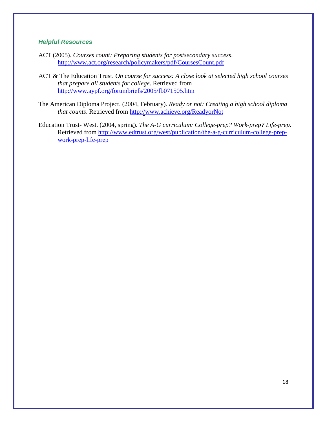- ACT (2005). *Courses count: Preparing students for postsecondary success*. <http://www.act.org/research/policymakers/pdf/CoursesCount.pdf>
- ACT & The Education Trust. *On course for success: A close look at selected high school courses that prepare all students for college*. Retrieved from <http://www.aypf.org/forumbriefs/2005/fb071505.htm>
- The American Diploma Project. (2004, February). *Ready or not: Creating a high school diploma that counts*. Retrieved from<http://www.achieve.org/ReadyorNot>
- Education Trust- West. (2004, spring). *The A-G curriculum: College-prep? Work-prep? Life-prep*. Retrieved from [http://www.edtrust.org/west/publication/the-a-g-curriculum-college-prep](http://www.edtrust.org/west/publication/the-a-g-curriculum-college-prep-work-prep-life-prep)[work-prep-life-prep](http://www.edtrust.org/west/publication/the-a-g-curriculum-college-prep-work-prep-life-prep)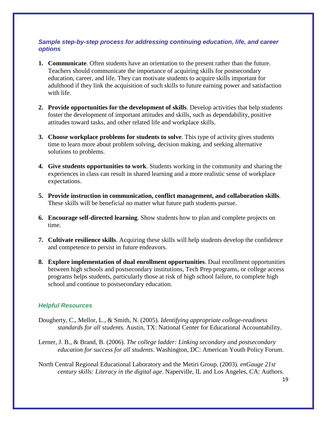## *Sample step-by-step process for addressing continuing education, life, and career options*

- **1. Communicate**. Often students have an orientation to the present rather than the future. Teachers should communicate the importance of acquiring skills for postsecondary education, career, and life. They can motivate students to acquire skills important for adulthood if they link the acquisition of such skills to future earning power and satisfaction with life.
- **2. Provide opportunities for the development of skills**. Develop activities that help students foster the development of important attitudes and skills, such as dependability, positive attitudes toward tasks, and other related life and workplace skills.
- **3. Choose workplace problems for students to solve**. This type of activity gives students time to learn more about problem solving, decision making, and seeking alternative solutions to problems.
- **4. Give students opportunities to work**. Students working in the community and sharing the experiences in class can result in shared learning and a more realistic sense of workplace expectations.
- **5. Provide instruction in communication, conflict management, and collaboration skills**. These skills will be beneficial no matter what future path students pursue.
- **6. Encourage self-directed learning**. Show students how to plan and complete projects on time.
- **7. Cultivate resilience skills**. Acquiring these skills will help students develop the confidence and competence to persist in future endeavors.
- **8. Explore implementation of dual enrollment opportunities**. Dual enrollment opportunities between high schools and postsecondary institutions, Tech Prep programs, or college access programs helps students, particularly those at risk of high school failure, to complete high school and continue to postsecondary education.

- Dougherty, C., Mellor, L., & Smith, N. (2005). *Identifying appropriate college-readiness standards for all students.* Austin, TX: National Center for Educational Accountability.
- Lerner, J. B., & Brand, B. (2006). *The college ladder: Linking secondary and postsecondary education for success for all students*. Washington, DC: American Youth Policy Forum.
- North Central Regional Educational Laboratory and the Metiri Group. (2003). *enGauge 21st century skills: Literacy in the digital age*. Naperville, IL and Los Angeles, CA: Authors.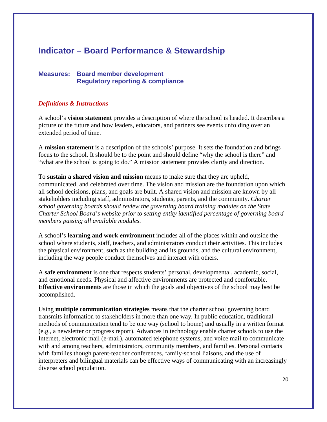# **Indicator – Board Performance & Stewardship**

# **Measures: Board member development Regulatory reporting & compliance**

#### *Definitions & Instructions*

A school's **vision statement** provides a description of where the school is headed. It describes a picture of the future and how leaders, educators, and partners see events unfolding over an extended period of time.

A **mission statement** is a description of the schools' purpose. It sets the foundation and brings focus to the school. It should be to the point and should define "why the school is there" and "what are the school is going to do." A mission statement provides clarity and direction.

To **sustain a shared vision and mission** means to make sure that they are upheld, communicated, and celebrated over time. The vision and mission are the foundation upon which all school decisions, plans, and goals are built. A shared vision and mission are known by all stakeholders including staff, administrators, students, parents, and the community. *Charter school governing boards should review the governing board training modules on the State Charter School Board's website prior to setting entity identified percentage of governing board members passing all available modules.*

A school's **learning and work environment** includes all of the places within and outside the school where students, staff, teachers, and administrators conduct their activities. This includes the physical environment, such as the building and its grounds, and the cultural environment, including the way people conduct themselves and interact with others.

A **safe environment** is one that respects students' personal, developmental, academic, social, and emotional needs. Physical and affective environments are protected and comfortable. **Effective environments** are those in which the goals and objectives of the school may best be accomplished.

Using **multiple communication strategies** means that the charter school governing board transmits information to stakeholders in more than one way. In public education, traditional methods of communication tend to be one way (school to home) and usually in a written format (e.g., a newsletter or progress report). Advances in technology enable charter schools to use the Internet, electronic mail (e-mail), automated telephone systems, and voice mail to communicate with and among teachers, administrators, community members, and families. Personal contacts with families though parent-teacher conferences, family-school liaisons, and the use of interpreters and bilingual materials can be effective ways of communicating with an increasingly diverse school population.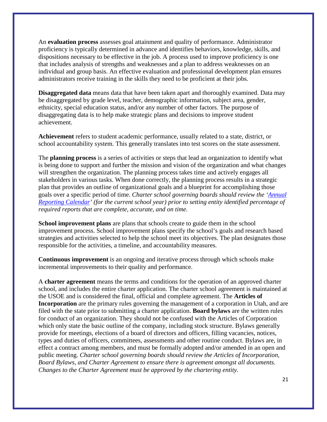An **evaluation process** assesses goal attainment and quality of performance. Administrator proficiency is typically determined in advance and identifies behaviors, knowledge, skills, and dispositions necessary to be effective in the job. A process used to improve proficiency is one that includes analysis of strengths and weaknesses and a plan to address weaknesses on an individual and group basis. An effective evaluation and professional development plan ensures administrators receive training in the skills they need to be proficient at their jobs.

**Disaggregated data** means data that have been taken apart and thoroughly examined. Data may be disaggregated by grade level, teacher, demographic information, subject area, gender, ethnicity, special education status, and/or any number of other factors. The purpose of disaggregating data is to help make strategic plans and decisions to improve student achievement.

**Achievement** refers to student academic performance, usually related to a state, district, or school accountability system. This generally translates into test scores on the state assessment.

The **planning process** is a series of activities or steps that lead an organization to identify what is being done to support and further the mission and vision of the organization and what changes will strengthen the organization. The planning process takes time and actively engages all stakeholders in various tasks. When done correctly, the planning process results in a strategic plan that provides an outline of organizational goals and a blueprint for accomplishing those goals over a specific period of time. *Charter school governing boards should review the ['Annual](http://schools.utah.gov/charterschools/School-Resources/Forms-and-Required-Reports.aspx)  [Reporting Calendar'](http://schools.utah.gov/charterschools/School-Resources/Forms-and-Required-Reports.aspx) (for the current school year) prior to setting entity identified percentage of required reports that are complete, accurate, and on time.*

**School improvement plans** are plans that schools create to guide them in the school improvement process. School improvement plans specify the school's goals and research based strategies and activities selected to help the school meet its objectives. The plan designates those responsible for the activities, a timeline, and accountability measures.

**Continuous improvement** is an ongoing and iterative process through which schools make incremental improvements to their quality and performance.

A **charter agreement** means the terms and conditions for the operation of an approved charter school, and includes the entire charter application. The charter school agreement is maintained at the USOE and is considered the final, official and complete agreement. The **Articles of Incorporation** are the primary rules governing the management of a corporation in Utah, and are filed with the state prior to submitting a charter application. **Board bylaws** are the written rules for conduct of an organization. They should not be confused with the Articles of Corporation which only state the basic outline of the company, including stock structure. Bylaws generally provide for meetings, elections of a board of directors and officers, filling vacancies, notices, types and duties of officers, committees, assessments and other routine conduct. Bylaws are, in effect a contract among members, and must be formally adopted and/or amended in an open and public meeting. *Charter school governing boards should review the Articles of Incorporation, Board Bylaws, and Charter Agreement to ensure there is agreement amongst all documents. Changes to the Charter Agreement must be approved by the chartering entity.*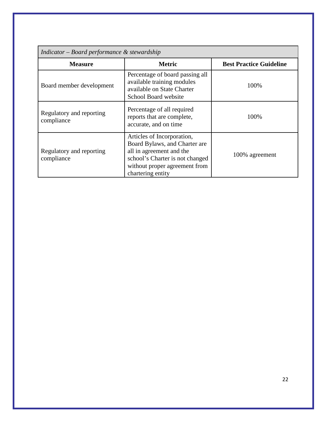| Indicator – Board performance $\&$ stewardship |                                                                                                                                                                                  |                                |  |
|------------------------------------------------|----------------------------------------------------------------------------------------------------------------------------------------------------------------------------------|--------------------------------|--|
| <b>Measure</b>                                 | <b>Metric</b>                                                                                                                                                                    | <b>Best Practice Guideline</b> |  |
| Board member development                       | Percentage of board passing all<br>available training modules<br>available on State Charter<br>School Board website                                                              | 100%                           |  |
| Regulatory and reporting<br>compliance         | Percentage of all required<br>reports that are complete,<br>accurate, and on time                                                                                                | 100%                           |  |
| Regulatory and reporting<br>compliance         | Articles of Incorporation,<br>Board Bylaws, and Charter are<br>all in agreement and the<br>school's Charter is not changed<br>without proper agreement from<br>chartering entity | 100% agreement                 |  |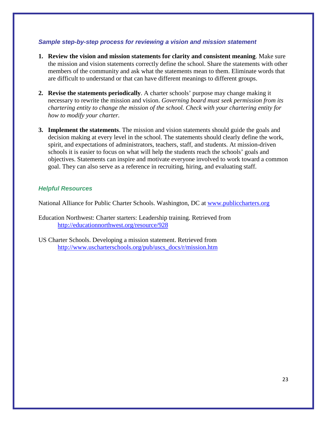#### *Sample step-by-step process for reviewing a vision and mission statement*

- **1. Review the vision and mission statements for clarity and consistent meaning**. Make sure the mission and vision statements correctly define the school. Share the statements with other members of the community and ask what the statements mean to them. Eliminate words that are difficult to understand or that can have different meanings to different groups.
- **2. Revise the statements periodically**. A charter schools' purpose may change making it necessary to rewrite the mission and vision. *Governing board must seek permission from its chartering entity to change the mission of the school. Check with your chartering entity for how to modify your charter.*
- **3. Implement the statements**. The mission and vision statements should guide the goals and decision making at every level in the school. The statements should clearly define the work, spirit, and expectations of administrators, teachers, staff, and students. At mission-driven schools it is easier to focus on what will help the students reach the schools' goals and objectives. Statements can inspire and motivate everyone involved to work toward a common goal. They can also serve as a reference in recruiting, hiring, and evaluating staff.

#### *Helpful Resources*

National Alliance for Public Charter Schools. Washington, DC at [www.publiccharters.org](http://www.publiccharters.org/)

Education Northwest: Charter starters: Leadership training. Retrieved from <http://educationnorthwest.org/resource/928>

US Charter Schools. Developing a mission statement. Retrieved from [http://www.uscharterschools.org/pub/uscs\\_docs/r/mission.htm](http://www.uscharterschools.org/pub/uscs_docs/r/mission.htm)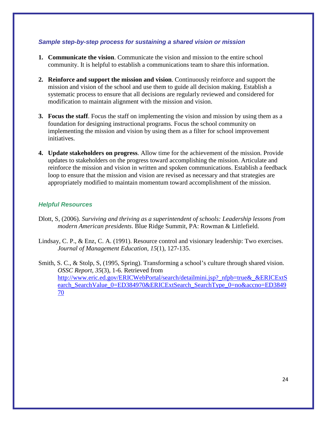#### *Sample step-by-step process for sustaining a shared vision or mission*

- **1. Communicate the vision**. Communicate the vision and mission to the entire school community. It is helpful to establish a communications team to share this information.
- **2. Reinforce and support the mission and vision**. Continuously reinforce and support the mission and vision of the school and use them to guide all decision making. Establish a systematic process to ensure that all decisions are regularly reviewed and considered for modification to maintain alignment with the mission and vision.
- **3. Focus the staff**. Focus the staff on implementing the vision and mission by using them as a foundation for designing instructional programs. Focus the school community on implementing the mission and vision by using them as a filter for school improvement initiatives.
- **4. Update stakeholders on progress**. Allow time for the achievement of the mission. Provide updates to stakeholders on the progress toward accomplishing the mission. Articulate and reinforce the mission and vision in written and spoken communications. Establish a feedback loop to ensure that the mission and vision are revised as necessary and that strategies are appropriately modified to maintain momentum toward accomplishment of the mission.

- Dlott, S, (2006). *Surviving and thriving as a superintendent of schools: Leadership lessons from modern American presidents*. Blue Ridge Summit, PA: Rowman & Littlefield.
- Lindsay, C. P., & Enz, C. A. (1991). Resource control and visionary leadership: Two exercises. *Journal of Management Education, 15*(1), 127-135.
- Smith, S. C., & Stolp, S, (1995, Spring). Transforming a school's culture through shared vision. *OSSC Report, 35*(3), 1-6. Retrieved from [http://www.eric.ed.gov/ERICWebPortal/search/detailmini.jsp?\\_nfpb=true&\\_&ERICExtS](http://www.eric.ed.gov/ERICWebPortal/search/detailmini.jsp?_nfpb=true&_&ERICExtSearch_SearchValue_0=ED384970&ERICExtSearch_SearchType_0=no&accno=ED384970) [earch\\_SearchValue\\_0=ED384970&ERICExtSearch\\_SearchType\\_0=no&accno=ED3849](http://www.eric.ed.gov/ERICWebPortal/search/detailmini.jsp?_nfpb=true&_&ERICExtSearch_SearchValue_0=ED384970&ERICExtSearch_SearchType_0=no&accno=ED384970) [70](http://www.eric.ed.gov/ERICWebPortal/search/detailmini.jsp?_nfpb=true&_&ERICExtSearch_SearchValue_0=ED384970&ERICExtSearch_SearchType_0=no&accno=ED384970)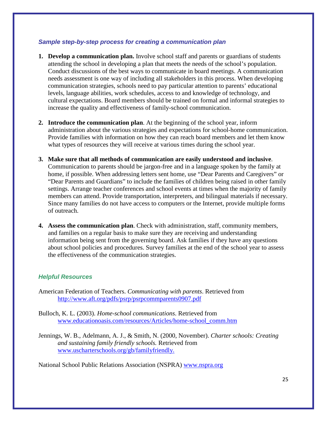#### *Sample step-by-step process for creating a communication plan*

- **1. Develop a communication plan.** Involve school staff and parents or guardians of students attending the school in developing a plan that meets the needs of the school's population. Conduct discussions of the best ways to communicate in board meetings. A communication needs assessment is one way of including all stakeholders in this process. When developing communication strategies, schools need to pay particular attention to parents' educational levels, language abilities, work schedules, access to and knowledge of technology, and cultural expectations. Board members should be trained on formal and informal strategies to increase the quality and effectiveness of family-school communication.
- **2. Introduce the communication plan**. At the beginning of the school year, inform administration about the various strategies and expectations for school-home communication. Provide families with information on how they can reach board members and let them know what types of resources they will receive at various times during the school year.
- **3. Make sure that all methods of communication are easily understood and inclusive**. Communication to parents should be jargon-free and in a language spoken by the family at home, if possible. When addressing letters sent home, use "Dear Parents and Caregivers" or "Dear Parents and Guardians" to include the families of children being raised in other family settings. Arrange teacher conferences and school events at times when the majority of family members can attend. Provide transportation, interpreters, and bilingual materials if necessary. Since many families do not have access to computers or the Internet, provide multiple forms of outreach.
- **4. Assess the communication plan**. Check with administration, staff, community members, and families on a regular basis to make sure they are receiving and understanding information being sent from the governing board. Ask families if they have any questions about school policies and procedures. Survey families at the end of the school year to assess the effectiveness of the communication strategies.

#### *Helpful Resources*

American Federation of Teachers. *Communicating with parents*. Retrieved from <http://www.aft.org/pdfs/psrp/psrpcommparents0907.pdf>

- Bulloch, K. L. (2003). *Home-school communications*. Retrieved from [www.educationoasis.com/resources/Articles/home-school\\_comm.htm](http://www.educationoasis.com/resources/Articles/home-school_comm.htm)
- Jennings, W. B., Adelmann, A. J., & Smith, N. (2000, November). *Charter schools: Creating and sustaining family friendly schools.* Retrieved fro[m](http://www.uscharterschools.org/gb/familyfriendly) [www.uscharterschools.org/gb/familyfriendly.](http://www.uscharterschools.org/gb/familyfriendly)

National School Public Relations Association (NSPRA) [www.nspra.org](http://www.nspra.org/)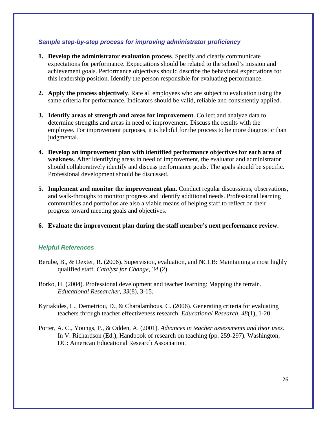## *Sample step-by-step process for improving administrator proficiency*

- **1. Develop the administrator evaluation process**. Specify and clearly communicate expectations for performance. Expectations should be related to the school's mission and achievement goals. Performance objectives should describe the behavioral expectations for this leadership position. Identify the person responsible for evaluating performance.
- **2. Apply the process objectively**. Rate all employees who are subject to evaluation using the same criteria for performance. Indicators should be valid, reliable and consistently applied.
- **3. Identify areas of strength and areas for improvement**. Collect and analyze data to determine strengths and areas in need of improvement. Discuss the results with the employee. For improvement purposes, it is helpful for the process to be more diagnostic than judgmental.
- **4. Develop an improvement plan with identified performance objectives for each area of weakness**. After identifying areas in need of improvement, the evaluator and administrator should collaboratively identify and discuss performance goals. The goals should be specific. Professional development should be discussed.
- **5. Implement and monitor the improvement plan**. Conduct regular discussions, observations, and walk-throughs to monitor progress and identify additional needs. Professional learning communities and portfolios are also a viable means of helping staff to reflect on their progress toward meeting goals and objectives.
- **6. Evaluate the improvement plan during the staff member's next performance review.**

# *Helpful References*

- Berube, B., & Dexter, R. (2006). Supervision, evaluation, and NCLB: Maintaining a most highly qualified staff. *Catalyst for Change, 34* (2).
- Borko, H. (2004). Professional development and teacher learning: Mapping the terrain. *Educational Researcher, 33*(8), 3-15.
- Kyriakides, L., Demetriou, D., & Charalambous, C. (2006). Generating criteria for evaluating teachers through teacher effectiveness research. *Educational Research, 48*(1), 1-20.
- Porter, A. C., Youngs, P., & Odden, A. (2001). *Advances in teacher assessments and their uses.* In V. Richardson (Ed.), Handbook of research on teaching (pp. 259-297). Washington, DC: American Educational Research Association.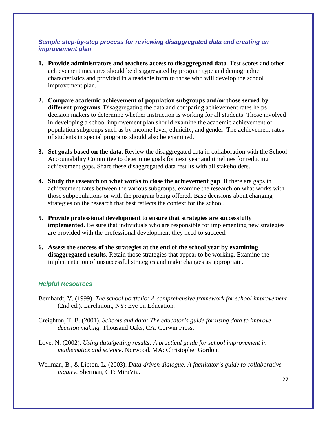## *Sample step-by-step process for reviewing disaggregated data and creating an improvement plan*

- **1. Provide administrators and teachers access to disaggregated data**. Test scores and other achievement measures should be disaggregated by program type and demographic characteristics and provided in a readable form to those who will develop the school improvement plan.
- **2. Compare academic achievement of population subgroups and/or those served by different programs**. Disaggregating the data and comparing achievement rates helps decision makers to determine whether instruction is working for all students. Those involved in developing a school improvement plan should examine the academic achievement of population subgroups such as by income level, ethnicity, and gender. The achievement rates of students in special programs should also be examined.
- **3. Set goals based on the data**. Review the disaggregated data in collaboration with the School Accountability Committee to determine goals for next year and timelines for reducing achievement gaps. Share these disaggregated data results with all stakeholders.
- **4. Study the research on what works to close the achievement gap**. If there are gaps in achievement rates between the various subgroups, examine the research on what works with those subpopulations or with the program being offered. Base decisions about changing strategies on the research that best reflects the context for the school.
- **5. Provide professional development to ensure that strategies are successfully implemented**. Be sure that individuals who are responsible for implementing new strategies are provided with the professional development they need to succeed.
- **6. Assess the success of the strategies at the end of the school year by examining disaggregated results**. Retain those strategies that appear to be working. Examine the implementation of unsuccessful strategies and make changes as appropriate.

- Bernhardt, V. (1999). *The school portfolio: A comprehensive framework for school improvement* (2nd ed.). Larchmont, NY: Eye on Education.
- Creighton, T. B. (2001). *Schools and data: The educator's guide for using data to improve decision making.* Thousand Oaks, CA: Corwin Press.
- Love, N. (2002). *Using data/getting results: A practical guide for school improvement in mathematics and science*. Norwood, MA: Christopher Gordon.
- Wellman, B., & Lipton, L. (2003). *Data-driven dialogue: A facilitator's guide to collaborative inquiry*. Sherman, CT: MiraVia.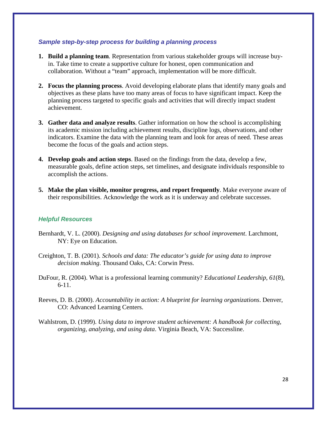#### *Sample step-by-step process for building a planning process*

- **1. Build a planning team**. Representation from various stakeholder groups will increase buyin. Take time to create a supportive culture for honest, open communication and collaboration. Without a "team" approach, implementation will be more difficult.
- **2. Focus the planning process**. Avoid developing elaborate plans that identify many goals and objectives as these plans have too many areas of focus to have significant impact. Keep the planning process targeted to specific goals and activities that will directly impact student achievement.
- **3. Gather data and analyze results**. Gather information on how the school is accomplishing its academic mission including achievement results, discipline logs, observations, and other indicators. Examine the data with the planning team and look for areas of need. These areas become the focus of the goals and action steps.
- **4. Develop goals and action steps**. Based on the findings from the data, develop a few, measurable goals, define action steps, set timelines, and designate individuals responsible to accomplish the actions.
- **5. Make the plan visible, monitor progress, and report frequently**. Make everyone aware of their responsibilities. Acknowledge the work as it is underway and celebrate successes.

- Bernhardt, V. L. (2000). *Designing and using databases for school improvement*. Larchmont, NY: Eye on Education.
- Creighton, T. B. (2001). *Schools and data: The educator's guide for using data to improve decision making*. Thousand Oaks, CA: Corwin Press.
- DuFour, R. (2004). What is a professional learning community? *Educational Leadership, 61*(8), 6-11.
- Reeves, D. B. (2000). *Accountability in action: A blueprint for learning organizations*. Denver, CO: Advanced Learning Centers.
- Wahlstrom, D. (1999). *Using data to improve student achievement: A handbook for collecting, organizing, analyzing, and using data*. Virginia Beach, VA: Successline.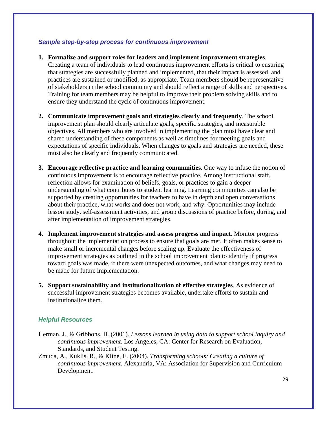#### *Sample step-by-step process for continuous improvement*

- **1. Formalize and support roles for leaders and implement improvement strategies**. Creating a team of individuals to lead continuous improvement efforts is critical to ensuring that strategies are successfully planned and implemented, that their impact is assessed, and practices are sustained or modified, as appropriate. Team members should be representative of stakeholders in the school community and should reflect a range of skills and perspectives. Training for team members may be helpful to improve their problem solving skills and to ensure they understand the cycle of continuous improvement.
- **2. Communicate improvement goals and strategies clearly and frequently**. The school improvement plan should clearly articulate goals, specific strategies, and measurable objectives. All members who are involved in implementing the plan must have clear and shared understanding of these components as well as timelines for meeting goals and expectations of specific individuals. When changes to goals and strategies are needed, these must also be clearly and frequently communicated.
- **3. Encourage reflective practice and learning communities**. One way to infuse the notion of continuous improvement is to encourage reflective practice. Among instructional staff, reflection allows for examination of beliefs, goals, or practices to gain a deeper understanding of what contributes to student learning. Learning communities can also be supported by creating opportunities for teachers to have in depth and open conversations about their practice, what works and does not work, and why. Opportunities may include lesson study, self-assessment activities, and group discussions of practice before, during, and after implementation of improvement strategies.
- **4. Implement improvement strategies and assess progress and impact**. Monitor progress throughout the implementation process to ensure that goals are met. It often makes sense to make small or incremental changes before scaling up. Evaluate the effectiveness of improvement strategies as outlined in the school improvement plan to identify if progress toward goals was made, if there were unexpected outcomes, and what changes may need to be made for future implementation.
- **5. Support sustainability and institutionalization of effective strategies**. As evidence of successful improvement strategies becomes available, undertake efforts to sustain and institutionalize them.

- Herman, J., & Gribbons, B. (2001). *Lessons learned in using data to support school inquiry and continuous improvement.* Los Angeles, CA: Center for Research on Evaluation, Standards, and Student Testing.
- Zmuda, A., Kuklis, R., & Kline, E. (2004). *Transforming schools: Creating a culture of continuous improvement.* Alexandria, VA: Association for Supervision and Curriculum Development.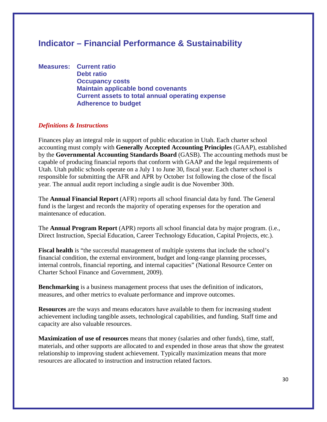# **Indicator – Financial Performance & Sustainability**

**Measures: Current ratio Debt ratio Occupancy costs Maintain applicable bond covenants Current assets to total annual operating expense Adherence to budget**

#### *Definitions & Instructions*

Finances play an integral role in support of public education in Utah. Each charter school accounting must comply with **Generally Accepted Accounting Principles** (GAAP), established by the **Governmental Accounting Standards Board** (GASB). The accounting methods must be capable of producing financial reports that conform with GAAP and the legal requirements of Utah. Utah public schools operate on a July 1 to June 30, fiscal year. Each charter school is responsible for submitting the AFR and APR by October 1st following the close of the fiscal year. The annual audit report including a single audit is due November 30th.

The **Annual Financial Report** (AFR) reports all school financial data by fund. The General fund is the largest and records the majority of operating expenses for the operation and maintenance of education.

The **Annual Program Report** (APR) reports all school financial data by major program. (i.e., Direct Instruction, Special Education, Career Technology Education, Capital Projects, etc.).

**Fiscal health** is "the successful management of multiple systems that include the school's financial condition, the external environment, budget and long-range planning processes, internal controls, financial reporting, and internal capacities" (National Resource Center on Charter School Finance and Government, 2009).

**Benchmarking** is a business management process that uses the definition of indicators, measures, and other metrics to evaluate performance and improve outcomes.

**Resources** are the ways and means educators have available to them for increasing student achievement including tangible assets, technological capabilities, and funding. Staff time and capacity are also valuable resources.

**Maximization of use of resources** means that money (salaries and other funds), time, staff, materials, and other supports are allocated to and expended in those areas that show the greatest relationship to improving student achievement. Typically maximization means that more resources are allocated to instruction and instruction related factors.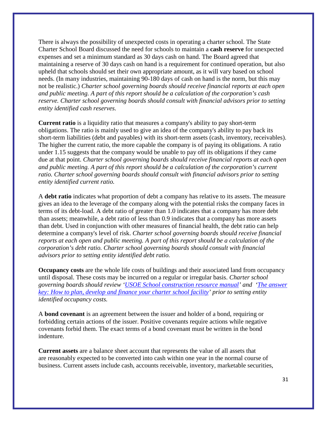There is always the possibility of unexpected costs in operating a charter school. The State Charter School Board discussed the need for schools to maintain a **cash reserve** for unexpected expenses and set a minimum standard as 30 days cash on hand. The Board agreed that maintaining a reserve of 30 days cash on hand is a requirement for continued operation, but also upheld that schools should set their own appropriate amount, as it will vary based on school needs. (In many industries, maintaining 90-180 days of cash on hand is the norm, but this may not be realistic.) *Charter school governing boards should receive financial reports at each open and public meeting. A part of this report should be a calculation of the corporation's cash reserve. Charter school governing boards should consult with financial advisors prior to setting entity identified cash reserves.*

**Current ratio** is a liquidity ratio that measures a company's ability to pay short-term obligations. The ratio is mainly used to give an idea of the company's ability to pay back its short-term liabilities (debt and payables) with its short-term assets (cash, inventory, receivables). The higher the current ratio, the more capable the company is of paying its obligations. A ratio under 1.15 suggests that the company would be unable to pay off its obligations if they came due at that point. *Charter school governing boards should receive financial reports at each open and public meeting. A part of this report should be a calculation of the corporation's current ratio. Charter school governing boards should consult with financial advisors prior to setting entity identified current ratio.*

A **debt ratio** indicates what proportion of debt a company has relative to its assets. The measure gives an idea to the leverage of the company along with the potential risks the company faces in terms of its debt-load. A debt ratio of greater than 1.0 indicates that a company has more debt than assets; meanwhile, a debt ratio of less than 0.9 indicates that a company has more assets than debt. Used in conjunction with other measures of financial health, the debt ratio can help determine a company's level of risk. *Charter school governing boards should receive financial reports at each open and public meeting. A part of this report should be a calculation of the corporation's debt ratio. Charter school governing boards should consult with financial advisors prior to setting entity identified debt ratio.*

**Occupancy costs** are the whole life costs of buildings and their associated land from occupancy until disposal. These costs may be incurred on a regular or irregular basis. *Charter school governing boards should review ['USOE School construction resource manual'](http://schools.utah.gov/finance/Facilities/School-Construction-Resource-Manual.aspx) and ['The answer](http://www.ncbcapitalimpact.org/default.aspx?id=42)  key: How to plan, develop [and finance your charter school facility'](http://www.ncbcapitalimpact.org/default.aspx?id=42) prior to setting entity identified occupancy costs.*

A **bond covenant** is an agreement between the issuer and holder of a bond, requiring or forbidding certain actions of the issuer. Positive covenants require actions while negative covenants forbid them. The exact terms of a bond covenant must be written in the bond indenture.

**Current assets** are a balance sheet account that represents the value of all assets that are reasonably expected to be converted into cash within one year in the normal course of business. Current assets include cash, accounts receivable, inventory, marketable securities,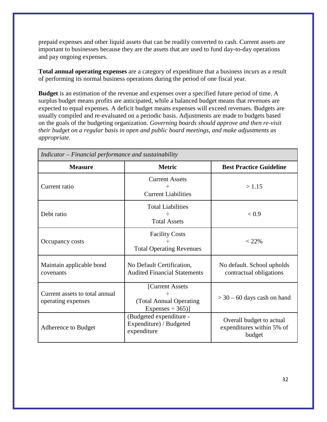prepaid expenses and other liquid assets that can be readily converted to cash. Current assets are important to businesses because they are the assets that are used to fund day-to-day operations and pay ongoing expenses.

**Total annual operating expenses** are a category of expenditure that a business incurs as a result of performing its normal business operations during the period of one fiscal year.

**Budget** is an estimation of the revenue and expenses over a specified future period of time. A surplus budget means profits are anticipated, while a balanced budget means that revenues are expected to equal expenses. A deficit budget means expenses will exceed revenues. Budgets are usually compiled and re-evaluated on a periodic basis. Adjustments are made to budgets based on the goals of the budgeting organization. *Governing boards should approve and then re-visit their budget on a regular basis in open and public board meetings, and make adjustments as appropriate.*

| Indicator – Financial performance and sustainability |                                                                                |                                                                 |  |
|------------------------------------------------------|--------------------------------------------------------------------------------|-----------------------------------------------------------------|--|
| <b>Measure</b>                                       | <b>Metric</b>                                                                  | <b>Best Practice Guideline</b>                                  |  |
| Current ratio                                        | <b>Current Assets</b><br>÷<br><b>Current Liabilities</b>                       | >1.15                                                           |  |
| Debt ratio                                           | <b>Total Liabilities</b><br><b>Total Assets</b>                                | < 0.9                                                           |  |
| Occupancy costs                                      | <b>Facility Costs</b><br><b>Total Operating Revenues</b>                       | $< 22\%$                                                        |  |
| Maintain applicable bond<br>covenants                | No Default Certification,<br><b>Audited Financial Statements</b>               | No default. School upholds<br>contractual obligations           |  |
| Current assets to total annual<br>operating expenses | [Current Assets]<br>$\div$<br>(Total Annual Operating<br>Expenses $\div$ 365)] | $>$ 30 – 60 days cash on hand                                   |  |
| Adherence to Budget                                  | (Budgeted expenditure -<br>Expenditure) / Budgeted<br>expenditure              | Overall budget to actual<br>expenditures within 5% of<br>budget |  |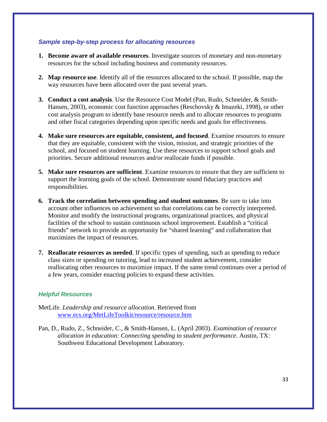#### *Sample step-by-step process for allocating resources*

- **1. Become aware of available resources**. Investigate sources of monetary and non-monetary resources for the school including business and community resources.
- **2. Map resource use**. Identify all of the resources allocated to the school. If possible, map the way resources have been allocated over the past several years.
- **3. Conduct a cost analysis**. Use the Resource Cost Model (Pan, Rudo, Schneider, & Smith-Hansen, 2003), economic cost function approaches (Reschovsky & Imazeki, 1998), or other cost analysis program to identify base resource needs and to allocate resources to programs and other fiscal categories depending upon specific needs and goals for effectiveness.
- **4. Make sure resources are equitable, consistent, and focused**. Examine resources to ensure that they are equitable, consistent with the vision, mission, and strategic priorities of the school, and focused on student learning. Use these resources to support school goals and priorities. Secure additional resources and/or reallocate funds if possible.
- **5. Make sure resources are sufficient**. Examine resources to ensure that they are sufficient to support the learning goals of the school. Demonstrate sound fiduciary practices and responsibilities.
- **6. Track the correlation between spending and student outcomes**. Be sure to take into account other influences on achievement so that correlations can be correctly interpreted. Monitor and modify the instructional programs, organizational practices, and physical facilities of the school to sustain continuous school improvement. Establish a "critical friends" network to provide an opportunity for "shared learning" and collaboration that maximizes the impact of resources.
- **7. Reallocate resources as needed**. If specific types of spending, such as spending to reduce class sizes or spending on tutoring, lead to increased student achievement, consider reallocating other resources to maximize impact. If the same trend continues over a period of a few years, consider enacting policies to expand these activities.

- MetLife. *Leadership and resource allocation*. Retrieved from [www.ecs.org/MetLifeToolkit/resource/resource.htm](http://www.ecs.org/MetLifeToolkit/resource/resource.htm)
- Pan, D., Rudo, Z., Schneider, C., & Smith-Hansen, L. (April 2003). *Examination of resource allocation in education: Connecting spending to student performance.* Austin, TX: Southwest Educational Development Laboratory.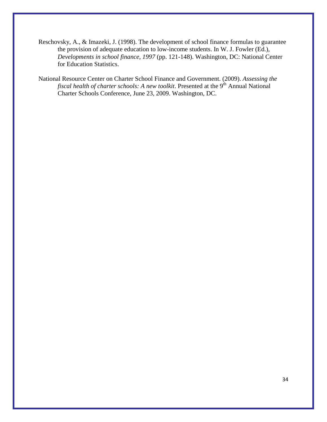- Reschovsky, A., & Imazeki, J. (1998). The development of school finance formulas to guarantee the provision of adequate education to low-income students. In W. J. Fowler (Ed.), *Developments in school finance, 1997* (pp. 121-148). Washington, DC: National Center for Education Statistics.
- National Resource Center on Charter School Finance and Government. (2009). *Assessing the fiscal health of charter schools: A new toolkit.* Presented at the 9<sup>th</sup> Annual National Charter Schools Conference, June 23, 2009. Washington, DC.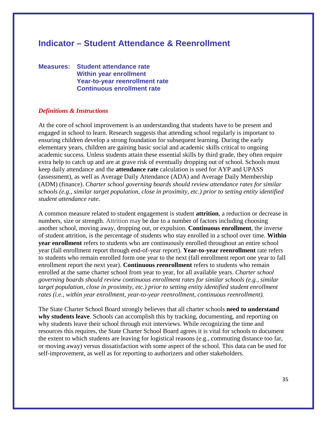# **Indicator – Student Attendance & Reenrollment**

**Measures: Student attendance rate Within year enrollment Year-to-year reenrollment rate Continuous enrollment rate**

#### *Definitions & Instructions*

At the core of school improvement is an understanding that students have to be present and engaged in school to learn. Research suggests that attending school regularly is important to ensuring children develop a strong foundation for subsequent learning. During the early elementary years, children are gaining basic social and academic skills critical to ongoing academic success. Unless students attain these essential skills by third grade, they often require extra help to catch up and are at grave risk of eventually dropping out of school. Schools must keep daily attendance and the **attendance rate** calculation is used for AYP and UPASS (assessment), as well as Average Daily Attendance (ADA) and Average Daily Membership (ADM) (finance). *Charter school governing boards should review attendance rates for similar schools (e.g., similar target population, close in proximity, etc.) prior to setting entity identified student attendance rate.*

A common measure related to student engagement is student **attrition**, a reduction or decrease in numbers, size or strength. Attrition may be due to a number of factors including choosing another school, moving away, dropping out, or expulsion. **Continuous enrollment**, the inverse of student attrition, is the percentage of students who stay enrolled in a school over time. **Within year enrollment** refers to students who are continuously enrolled throughout an entire school year (fall enrollment report through end-of-year report). **Year-to-year reenrollment** rate refers to students who remain enrolled form one year to the next (fall enrollment report one year to fall enrollment report the next year). **Continuous reenrollment** refers to students who remain enrolled at the same charter school from year to year, for all available years. *Charter school governing boards should review continuous enrollment rates for similar schools (e.g., similar target population, close in proximity, etc.) prior to setting entity identified student enrollment rates (i.e., within year enrollment, year-to-year reenrollment, continuous reenrollment).*

The State Charter School Board strongly believes that all charter schools **need to understand why students leave**. Schools can accomplish this by tracking, documenting, and reporting on why students leave their school through exit interviews. While recognizing the time and resources this requires, the State Charter School Board agrees it is vital for schools to document the extent to which students are leaving for logistical reasons (e.g., commuting distance too far, or moving away) versus dissatisfaction with some aspect of the school. This data can be used for self-improvement, as well as for reporting to authorizers and other stakeholders.